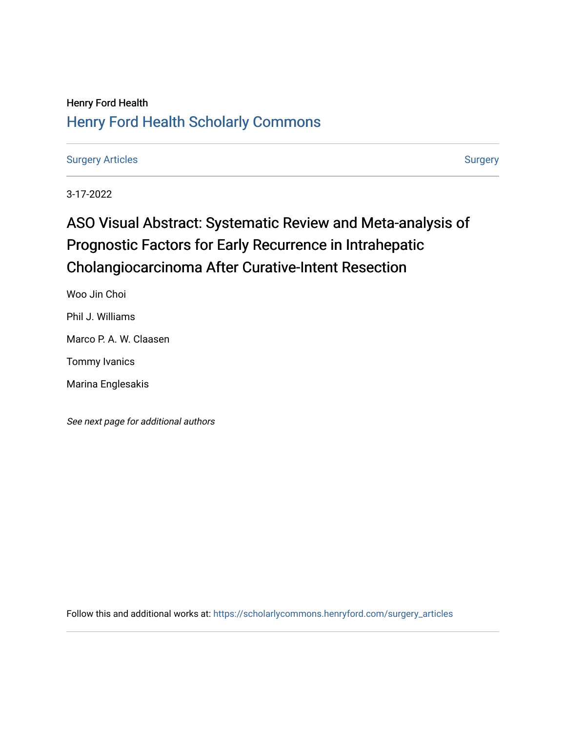## Henry Ford Health [Henry Ford Health Scholarly Commons](https://scholarlycommons.henryford.com/)

[Surgery Articles](https://scholarlycommons.henryford.com/surgery_articles) [Surgery](https://scholarlycommons.henryford.com/surgery) Articles

3-17-2022

# ASO Visual Abstract: Systematic Review and Meta-analysis of Prognostic Factors for Early Recurrence in Intrahepatic Cholangiocarcinoma After Curative-Intent Resection

Woo Jin Choi

Phil J. Williams

Marco P. A. W. Claasen

Tommy Ivanics

Marina Englesakis

See next page for additional authors

Follow this and additional works at: [https://scholarlycommons.henryford.com/surgery\\_articles](https://scholarlycommons.henryford.com/surgery_articles?utm_source=scholarlycommons.henryford.com%2Fsurgery_articles%2F573&utm_medium=PDF&utm_campaign=PDFCoverPages)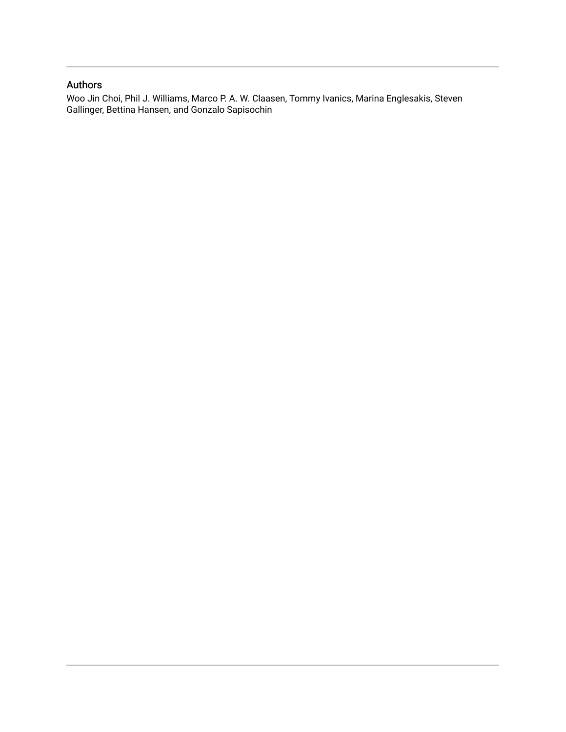### Authors

Woo Jin Choi, Phil J. Williams, Marco P. A. W. Claasen, Tommy Ivanics, Marina Englesakis, Steven Gallinger, Bettina Hansen, and Gonzalo Sapisochin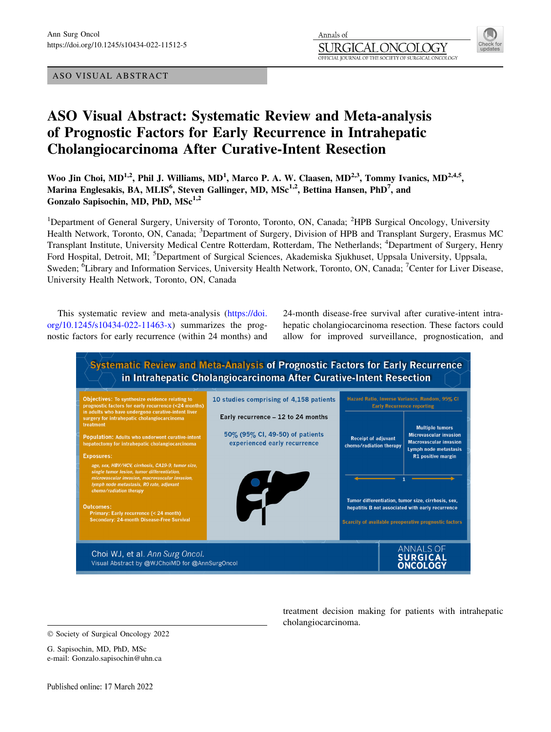#### ASO VISUAL ABSTRACT



## ASO Visual Abstract: Systematic Review and Meta-analysis of Prognostic Factors for Early Recurrence in Intrahepatic Cholangiocarcinoma After Curative-Intent Resection

Woo Jin Choi, MD<sup>1,2</sup>, Phil J. Williams, MD<sup>1</sup>, Marco P. A. W. Claasen, MD<sup>2,3</sup>, Tommy Ivanics, MD<sup>2,4,5</sup>, Marina Englesakis, BA, MLIS $^6$ , Steven Gallinger, MD, MSc $^{1,2}$ , Bettina Hansen, PhD $^7$ , and Gonzalo Sapisochin, MD, PhD, MSc<sup>1,2</sup>

<sup>1</sup>Department of General Surgery, University of Toronto, Toronto, ON, Canada; <sup>2</sup>HPB Surgical Oncology, University Health Network, Toronto, ON, Canada; <sup>3</sup>Department of Surgery, Division of HPB and Transplant Surgery, Erasmus MC Transplant Institute, University Medical Centre Rotterdam, Rotterdam, The Netherlands; <sup>4</sup>Department of Surgery, Henry Ford Hospital, Detroit, MI; <sup>5</sup>Department of Surgical Sciences, Akademiska Sjukhuset, Uppsala University, Uppsala, Sweden; <sup>6</sup>Library and Information Services, University Health Network, Toronto, ON, Canada; <sup>7</sup>Center for Liver Disease, University Health Network, Toronto, ON, Canada

This systematic review and meta-analysis ([https://doi.](https://doi.org/10.1245/s10434-022-11463-x) [org/10.1245/s10434-022-11463-x](https://doi.org/10.1245/s10434-022-11463-x)) summarizes the prognostic factors for early recurrence (within 24 months) and 24-month disease-free survival after curative-intent intrahepatic cholangiocarcinoma resection. These factors could allow for improved surveillance, prognostication, and



 $©$  Society of Surgical Oncology 2022

G. Sapisochin, MD, PhD, MSc e-mail: Gonzalo.sapisochin@uhn.ca treatment decision making for patients with intrahepatic cholangiocarcinoma.